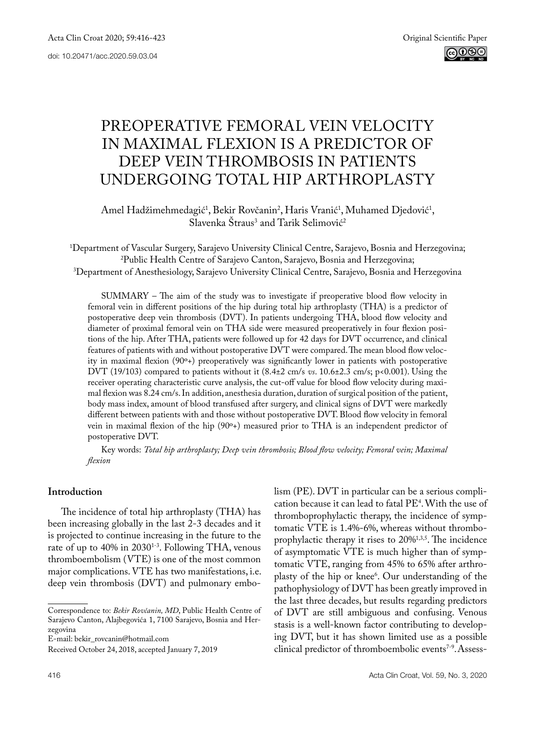# Preoperative femoral vein velocity in maximal flexion is a predictor of deep vein thrombosis in patients undergoing total hip arthroplasty

Amel Hadžimehmedagić<sup>1</sup>, Bekir Rovčanin<sup>2</sup>, Haris Vranić<sup>1</sup>, Muhamed Djedović<sup>1</sup>, Slavenka Straus<sup>3</sup> and Tarik Selimović<sup>2</sup>

1 Department of Vascular Surgery, Sarajevo University Clinical Centre, Sarajevo, Bosnia and Herzegovina; 2 Public Health Centre of Sarajevo Canton, Sarajevo, Bosnia and Herzegovina; 3 Department of Anesthesiology, Sarajevo University Clinical Centre, Sarajevo, Bosnia and Herzegovina

SUMMARY – The aim of the study was to investigate if preoperative blood flow velocity in femoral vein in different positions of the hip during total hip arthroplasty (THA) is a predictor of postoperative deep vein thrombosis (DVT). In patients undergoing THA, blood flow velocity and diameter of proximal femoral vein on THA side were measured preoperatively in four flexion positions of the hip. After THA, patients were followed up for 42 days for DVT occurrence, and clinical features of patients with and without postoperative DVT were compared. The mean blood flow velocity in maximal flexion (90º+) preoperatively was significantly lower in patients with postoperative DVT (19/103) compared to patients without it (8.4±2 cm/s *vs*. 10.6±2.3 cm/s; p<0.001). Using the receiver operating characteristic curve analysis, the cut-off value for blood flow velocity during maximal flexion was 8.24 cm/s. In addition, anesthesia duration, duration of surgical position of the patient, body mass index, amount of blood transfused after surgery, and clinical signs of DVT were markedly different between patients with and those without postoperative DVT. Blood flow velocity in femoral vein in maximal flexion of the hip (90º+) measured prior to THA is an independent predictor of postoperative DVT.

Key words: *Total hip arthroplasty; Deep vein thrombosis; Blood flow velocity; Femoral vein; Maximal flexion*

#### **Introduction**

The incidence of total hip arthroplasty (THA) has been increasing globally in the last 2-3 decades and it is projected to continue increasing in the future to the rate of up to 40% in 2030<sup>1-3</sup>. Following THA, venous thromboembolism (VTE) is one of the most common major complications. VTE has two manifestations, i.e. deep vein thrombosis (DVT) and pulmonary embo-

E-mail: [bekir\\_rovcanin@hotmail.com](mailto:bekir_rovcanin@hotmail.com)

lism (PE). DVT in particular can be a serious complication because it can lead to fatal PE<sup>4</sup>. With the use of thromboprophylactic therapy, the incidence of symptomatic VTE is 1.4%-6%, whereas without thromboprophylactic therapy it rises to 20%<sup>1,3,5</sup>. The incidence of asymptomatic VTE is much higher than of symptomatic VTE, ranging from 45% to 65% after arthroplasty of the hip or knee<sup>6</sup>. Our understanding of the pathophysiology of DVT has been greatly improved in the last three decades, but results regarding predictors of DVT are still ambiguous and confusing. Venous stasis is a well-known factor contributing to developing DVT, but it has shown limited use as a possible clinical predictor of thromboembolic events<sup>7-9</sup>. Assess-

Correspondence to: *Bekir Rovčanin, MD*, Public Health Centre of Sarajevo Canton, Alajbegovića 1, 7100 Sarajevo, Bosnia and Herzegovina

Received October 24, 2018, accepted January 7, 2019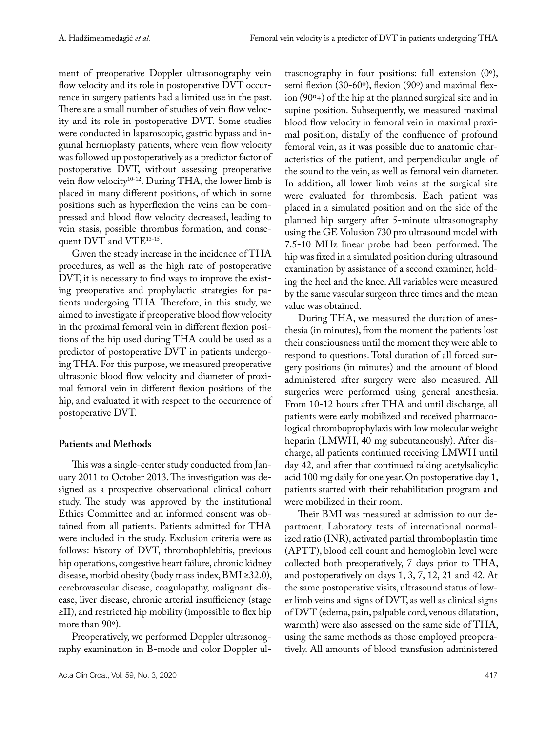ment of preoperative Doppler ultrasonography vein flow velocity and its role in postoperative DVT occurrence in surgery patients had a limited use in the past. There are a small number of studies of vein flow velocity and its role in postoperative DVT. Some studies were conducted in laparoscopic, gastric bypass and inguinal hernioplasty patients, where vein flow velocity was followed up postoperatively as a predictor factor of postoperative DVT, without assessing preoperative vein flow velocity<sup>10-12</sup>. During THA, the lower limb is placed in many different positions, of which in some positions such as hyperflexion the veins can be compressed and blood flow velocity decreased, leading to vein stasis, possible thrombus formation, and consequent DVT and VTE13-15.

Given the steady increase in the incidence of THA procedures, as well as the high rate of postoperative DVT, it is necessary to find ways to improve the existing preoperative and prophylactic strategies for patients undergoing THA. Therefore, in this study, we aimed to investigate if preoperative blood flow velocity in the proximal femoral vein in different flexion positions of the hip used during THA could be used as a predictor of postoperative DVT in patients undergoing THA. For this purpose, we measured preoperative ultrasonic blood flow velocity and diameter of proximal femoral vein in different flexion positions of the hip, and evaluated it with respect to the occurrence of postoperative DVT.

## **Patients and Methods**

This was a single-center study conducted from January 2011 to October 2013. The investigation was designed as a prospective observational clinical cohort study. The study was approved by the institutional Ethics Committee and an informed consent was obtained from all patients. Patients admitted for THA were included in the study. Exclusion criteria were as follows: history of DVT, thrombophlebitis, previous hip operations, congestive heart failure, chronic kidney disease, morbid obesity (body mass index, BMI ≥32.0), cerebrovascular disease, coagulopathy, malignant disease, liver disease, chronic arterial insufficiency (stage ≥II), and restricted hip mobility (impossible to flex hip more than 90º).

Preoperatively, we performed Doppler ultrasonography examination in B-mode and color Doppler ul-

trasonography in four positions: full extension (0º), semi flexion (30-60º), flexion (90º) and maximal flexion (90º+) of the hip at the planned surgical site and in supine position. Subsequently, we measured maximal blood flow velocity in femoral vein in maximal proximal position, distally of the confluence of profound femoral vein, as it was possible due to anatomic characteristics of the patient, and perpendicular angle of the sound to the vein, as well as femoral vein diameter. In addition, all lower limb veins at the surgical site were evaluated for thrombosis. Each patient was placed in a simulated position and on the side of the planned hip surgery after 5-minute ultrasonography using the GE Volusion 730 pro ultrasound model with 7.5-10 MHz linear probe had been performed. The hip was fixed in a simulated position during ultrasound examination by assistance of a second examiner, holding the heel and the knee. All variables were measured by the same vascular surgeon three times and the mean value was obtained.

During THA, we measured the duration of anesthesia (in minutes), from the moment the patients lost their consciousness until the moment they were able to respond to questions. Total duration of all forced surgery positions (in minutes) and the amount of blood administered after surgery were also measured. All surgeries were performed using general anesthesia. From 10-12 hours after THA and until discharge, all patients were early mobilized and received pharmacological thromboprophylaxis with low molecular weight heparin (LMWH, 40 mg subcutaneously). After discharge, all patients continued receiving LMWH until day 42, and after that continued taking acetylsalicylic acid 100 mg daily for one year. On postoperative day 1, patients started with their rehabilitation program and were mobilized in their room.

Their BMI was measured at admission to our department. Laboratory tests of international normalized ratio (INR), activated partial thromboplastin time (APTT), blood cell count and hemoglobin level were collected both preoperatively, 7 days prior to THA, and postoperatively on days 1, 3, 7, 12, 21 and 42. At the same postoperative visits, ultrasound status of lower limb veins and signs of DVT, as well as clinical signs of DVT (edema, pain, palpable cord, venous dilatation, warmth) were also assessed on the same side of THA, using the same methods as those employed preoperatively. All amounts of blood transfusion administered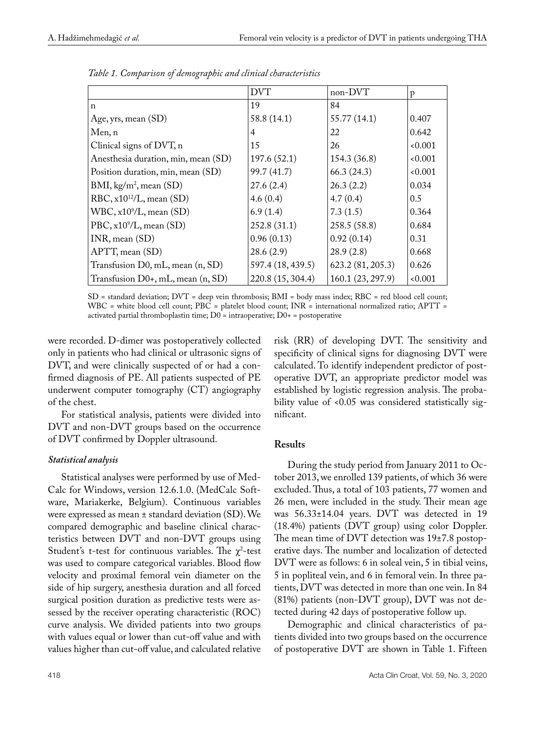|                                        | <b>DVT</b>        | non-DVT           | p     |
|----------------------------------------|-------------------|-------------------|-------|
| $\mathsf{n}$                           | 19                | 84                |       |
| Age, yrs, mean (SD)                    | 58.8 (14.1)       | 55.77 (14.1)      | 0.407 |
| Men, n                                 | 4                 | 22                | 0.642 |
| Clinical signs of DVT, n               | 15                | 26                | 0.001 |
| Anesthesia duration, min, mean (SD)    | 197.6(52.1)       | 154.3 (36.8)      | 0.001 |
| Position duration, min, mean (SD)      | 99.7 (41.7)       | 66.3(24.3)        | 0.001 |
| BMI, kg/m <sup>2</sup> , mean (SD)     | 27.6(2.4)         | 26.3(2.2)         | 0.034 |
| RBC, $x10^{12}/L$ , mean (SD)          | 4.6(0.4)          | 4.7(0.4)          | 0.5   |
| $WBC, x10^9/L, \text{mean (SD)}$       | 6.9(1.4)          | 7.3(1.5)          | 0.364 |
| PBC, $x10^9/L$ , mean (SD)             | 252.8(31.1)       | 258.5 (58.8)      | 0.684 |
| INR, mean (SD)                         | 0.96(0.13)        | 0.92(0.14)        | 0.31  |
| APTT, mean (SD)                        | 28.6(2.9)         | 28.9(2.8)         | 0.668 |
| Transfusion D0, mL, mean (n, SD)       | 597.4 (18, 439.5) | 623.2 (81, 205.3) | 0.626 |
| Transfusion $D0+$ , mL, mean $(n, SD)$ | 220.8 (15, 304.4) | 160.1 (23, 297.9) | 0.001 |

*Table 1. Comparison of demographic and clinical characteristics*

SD = standard deviation; DVT = deep vein thrombosis; BMI = body mass index; RBC = red blood cell count; WBC = white blood cell count; PBC = platelet blood count; INR = international normalized ratio; APTT = activated partial thromboplastin time; D0 = intraoperative; D0+ = postoperative

were recorded. D-dimer was postoperatively collected only in patients who had clinical or ultrasonic signs of DVT, and were clinically suspected of or had a confirmed diagnosis of PE. All patients suspected of PE underwent computer tomography (CT) angiography of the chest.

For statistical analysis, patients were divided into DVT and non-DVT groups based on the occurrence of DVT confirmed by Doppler ultrasound.

## *Statistical analysis*

Statistical analyses were performed by use of Med-Calc for Windows, version 12.6.1.0. (MedCalc Software, Mariakerke, Belgium). Continuous variables were expressed as mean ± standard deviation (SD). We compared demographic and baseline clinical characteristics between DVT and non-DVT groups using Student's t-test for continuous variables. The  $\chi^2$ -test was used to compare categorical variables. Blood flow velocity and proximal femoral vein diameter on the side of hip surgery, anesthesia duration and all forced surgical position duration as predictive tests were assessed by the receiver operating characteristic (ROC) curve analysis. We divided patients into two groups with values equal or lower than cut-off value and with values higher than cut-off value, and calculated relative

risk (RR) of developing DVT. The sensitivity and specificity of clinical signs for diagnosing DVT were calculated. To identify independent predictor of postoperative DVT, an appropriate predictor model was established by logistic regression analysis. The probability value of <0.05 was considered statistically significant.

# **Results**

During the study period from January 2011 to October 2013, we enrolled 139 patients, of which 36 were excluded. Thus, a total of 103 patients, 77 women and 26 men, were included in the study. Their mean age was 56.33±14.04 years. DVT was detected in 19 (18.4%) patients (DVT group) using color Doppler. The mean time of DVT detection was 19±7.8 postoperative days. The number and localization of detected DVT were as follows: 6 in soleal vein, 5 in tibial veins, 5 in popliteal vein, and 6 in femoral vein. In three patients, DVT was detected in more than one vein. In 84 (81%) patients (non-DVT group), DVT was not detected during 42 days of postoperative follow up.

Demographic and clinical characteristics of patients divided into two groups based on the occurrence of postoperative DVT are shown in Table 1. Fifteen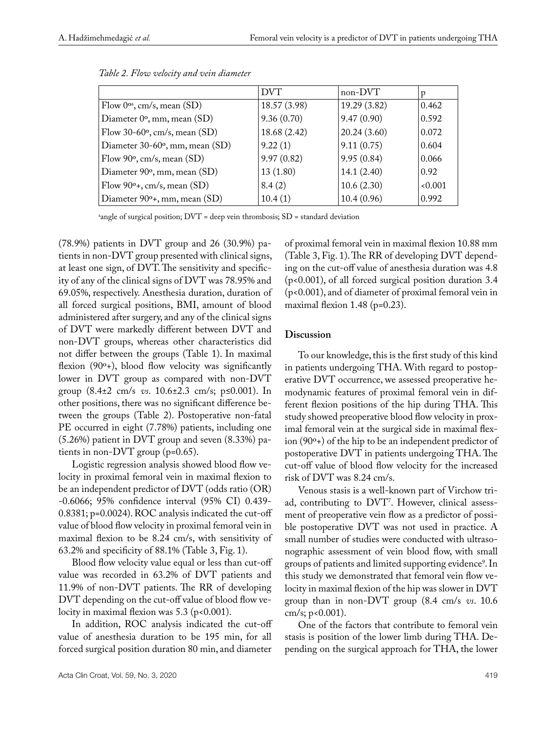|                                          | <b>DVT</b>   | non-DVT      | D     |
|------------------------------------------|--------------|--------------|-------|
| Flow $0^{\circ a}$ , cm/s, mean (SD)     | 18.57 (3.98) | 19.29 (3.82) | 0.462 |
| Diameter 0°, mm, mean (SD)               | 9.36(0.70)   | 9.47(0.90)   | 0.592 |
| Flow $30-60^{\circ}$ , cm/s, mean $(SD)$ | 18.68 (2.42) | 20.24(3.60)  | 0.072 |
| Diameter 30-60°, mm, mean (SD)           | 9.22(1)      | 9.11(0.75)   | 0.604 |
| Flow $90^\circ$ , cm/s, mean $(SD)$      | 9.97(0.82)   | 9.95(0.84)   | 0.066 |
| Diameter 90°, mm, mean (SD)              | 13(1.80)     | 14.1(2.40)   | 0.92  |
| Flow $90^\circ$ +, cm/s, mean (SD)       | 8.4(2)       | 10.6(2.30)   | 0.001 |
| Diameter $90^{\circ}$ +, mm, mean (SD)   | 10.4(1)      | 10.4(0.96)   | 0.992 |

| Table 2. Flow velocity and vein diameter |  |
|------------------------------------------|--|
|------------------------------------------|--|

 $^{\circ}$ angle of surgical position; DVT = deep vein thrombosis; SD = standard deviation

(78.9%) patients in DVT group and 26 (30.9%) patients in non-DVT group presented with clinical signs, at least one sign, of DVT. The sensitivity and specificity of any of the clinical signs of DVT was 78.95% and 69.05%, respectively. Anesthesia duration, duration of all forced surgical positions, BMI, amount of blood administered after surgery, and any of the clinical signs of DVT were markedly different between DVT and non-DVT groups, whereas other characteristics did not differ between the groups (Table 1). In maximal flexion  $(90^{\circ}$ +), blood flow velocity was significantly lower in DVT group as compared with non-DVT group (8.4±2 cm/s *vs*. 10.6±2.3 cm/s; p≤0.001). In other positions, there was no significant difference between the groups (Table 2). Postoperative non-fatal PE occurred in eight (7.78%) patients, including one (5.26%) patient in DVT group and seven (8.33%) patients in non-DVT group (p=0.65).

Logistic regression analysis showed blood flow velocity in proximal femoral vein in maximal flexion to be an independent predictor of DVT (odds ratio (OR) -0.6066; 95% confidence interval (95% CI) 0.439- 0.8381; p=0.0024). ROC analysis indicated the cut-off value of blood flow velocity in proximal femoral vein in maximal flexion to be 8.24 cm/s, with sensitivity of 63.2% and specificity of 88.1% (Table 3, Fig. 1).

Blood flow velocity value equal or less than cut-off value was recorded in 63.2% of DVT patients and 11.9% of non-DVT patients. The RR of developing DVT depending on the cut-off value of blood flow velocity in maximal flexion was 5.3 (p<0.001).

In addition, ROC analysis indicated the cut-off value of anesthesia duration to be 195 min, for all forced surgical position duration 80 min, and diameter

of proximal femoral vein in maximal flexion 10.88 mm (Table 3, Fig. 1). The RR of developing DVT depending on the cut-off value of anesthesia duration was 4.8 (p<0.001), of all forced surgical position duration 3.4 (p<0.001), and of diameter of proximal femoral vein in maximal flexion  $1.48$  (p=0.23).

#### **Discussion**

To our knowledge, this is the first study of this kind in patients undergoing THA. With regard to postoperative DVT occurrence, we assessed preoperative hemodynamic features of proximal femoral vein in different flexion positions of the hip during THA. This study showed preoperative blood flow velocity in proximal femoral vein at the surgical side in maximal flexion (90º+) of the hip to be an independent predictor of postoperative DVT in patients undergoing THA. The cut-off value of blood flow velocity for the increased risk of DVT was 8.24 cm/s.

Venous stasis is a well-known part of Virchow triad, contributing to DVT<sup>7</sup>. However, clinical assessment of preoperative vein flow as a predictor of possible postoperative DVT was not used in practice. A small number of studies were conducted with ultrasonographic assessment of vein blood flow, with small groups of patients and limited supporting evidence9 . In this study we demonstrated that femoral vein flow velocity in maximal flexion of the hip was slower in DVT group than in non-DVT group (8.4 cm/s *vs*. 10.6 cm/s; p<0.001).

One of the factors that contribute to femoral vein stasis is position of the lower limb during THA. Depending on the surgical approach for THA, the lower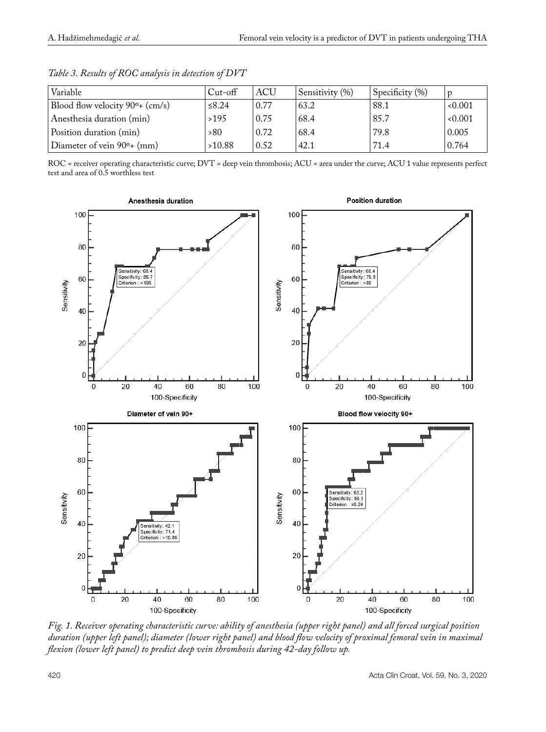| Variable                                     | $Cut$ -off | <b>ACU</b> | Sensitivity (%) | Specificity $(\% )$ | D     |
|----------------------------------------------|------------|------------|-----------------|---------------------|-------|
| Blood flow velocity 90 <sup>o</sup> + (cm/s) | ≤ $8.24$   | 0.77       | 63.2            | 88.1                | 0.001 |
| Anesthesia duration (min)                    | >195       | 0.75       | 68.4            | 85.7                | 0.001 |
| Position duration (min)                      | >80        | 0.72       | 68.4            | 79.8                | 0.005 |
| Diameter of vein 90 <sup>o</sup> + (mm)      | >10.88     | 0.52       | 42.1            | 71.4                | 0.764 |

*Table 3. Results of ROC analysis in detection of DVT*

ROC = receiver operating characteristic curve; DVT = deep vein thrombosis; ACU = area under the curve; ACU 1 value represents perfect test and area of 0.5 worthless test



*Fig. 1. Receiver operating characteristic curve: ability of anesthesia (upper right panel) and all forced surgical position duration (upper left panel); diameter (lower right panel) and blood flow velocity of proximal femoral vein in maximal flexion (lower left panel) to predict deep vein thrombosis during 42-day follow up.*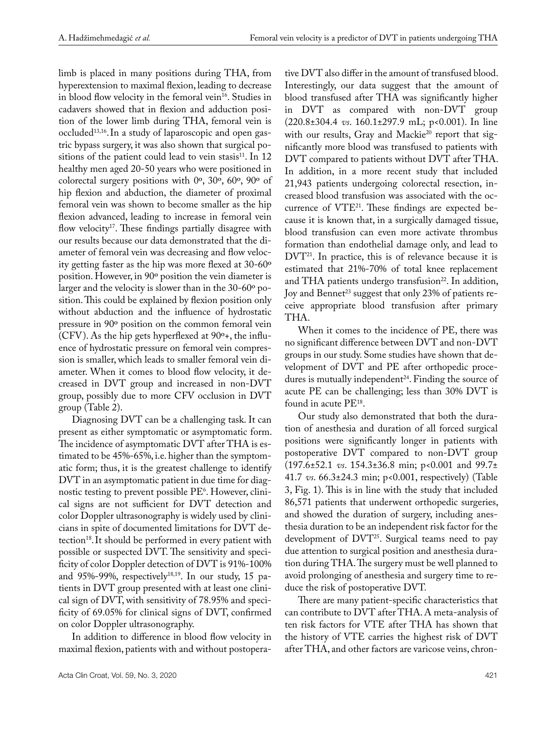limb is placed in many positions during THA, from hyperextension to maximal flexion, leading to decrease in blood flow velocity in the femoral vein<sup>16</sup>. Studies in cadavers showed that in flexion and adduction position of the lower limb during THA, femoral vein is occluded13,16.In a study of laparoscopic and open gastric bypass surgery, it was also shown that surgical positions of the patient could lead to vein stasis<sup>11</sup>. In 12 healthy men aged 20-50 years who were positioned in colorectal surgery positions with 0º, 30º, 60º, 90º of hip flexion and abduction, the diameter of proximal femoral vein was shown to become smaller as the hip flexion advanced, leading to increase in femoral vein flow velocity<sup>17</sup>. These findings partially disagree with our results because our data demonstrated that the diameter of femoral vein was decreasing and flow velocity getting faster as the hip was more flexed at 30-60º position. However, in 90º position the vein diameter is larger and the velocity is slower than in the 30-60º position. This could be explained by flexion position only without abduction and the influence of hydrostatic pressure in 90º position on the common femoral vein (CFV). As the hip gets hyperflexed at 90º+, the influence of hydrostatic pressure on femoral vein compression is smaller, which leads to smaller femoral vein diameter. When it comes to blood flow velocity, it decreased in DVT group and increased in non-DVT group, possibly due to more CFV occlusion in DVT group (Table 2).

Diagnosing DVT can be a challenging task. It can present as either symptomatic or asymptomatic form. The incidence of asymptomatic DVT after THA is estimated to be 45%-65%, i.e. higher than the symptomatic form; thus, it is the greatest challenge to identify DVT in an asymptomatic patient in due time for diagnostic testing to prevent possible PE6 . However, clinical signs are not sufficient for DVT detection and color Doppler ultrasonography is widely used by clinicians in spite of documented limitations for DVT detection<sup>18</sup>. It should be performed in every patient with possible or suspected DVT. The sensitivity and specificity of color Doppler detection of DVT is 91%-100% and 95%-99%, respectively<sup>18,19</sup>. In our study, 15 patients in DVT group presented with at least one clinical sign of DVT, with sensitivity of 78.95% and specificity of 69.05% for clinical signs of DVT, confirmed on color Doppler ultrasonography.

In addition to difference in blood flow velocity in maximal flexion, patients with and without postopera-

tive DVT also differ in the amount of transfused blood. Interestingly, our data suggest that the amount of blood transfused after THA was significantly higher in DVT as compared with non-DVT group (220.8±304.4 *vs*. 160.1±297.9 mL; p<0.001). In line with our results, Gray and Mackie<sup>20</sup> report that significantly more blood was transfused to patients with DVT compared to patients without DVT after THA. In addition, in a more recent study that included 21,943 patients undergoing colorectal resection, increased blood transfusion was associated with the occurrence of VTE21. These findings are expected because it is known that, in a surgically damaged tissue, blood transfusion can even more activate thrombus formation than endothelial damage only, and lead to DVT<sup>21</sup>. In practice, this is of relevance because it is estimated that 21%-70% of total knee replacement and THA patients undergo transfusion $^{22}$ . In addition, Joy and Bennet<sup>23</sup> suggest that only 23% of patients receive appropriate blood transfusion after primary THA.

When it comes to the incidence of PE, there was no significant difference between DVT and non-DVT groups in our study. Some studies have shown that development of DVT and PE after orthopedic procedures is mutually independent<sup>24</sup>. Finding the source of acute PE can be challenging; less than 30% DVT is found in acute PE18.

Our study also demonstrated that both the duration of anesthesia and duration of all forced surgical positions were significantly longer in patients with postoperative DVT compared to non-DVT group (197.6±52.1 *vs*. 154.3±36.8 min; p<0.001 and 99.7± 41.7 *vs*. 66.3±24.3 min; p<0.001, respectively) (Table 3, Fig. 1). This is in line with the study that included 86,571 patients that underwent orthopedic surgeries, and showed the duration of surgery, including anesthesia duration to be an independent risk factor for the development of DVT<sup>25</sup>. Surgical teams need to pay due attention to surgical position and anesthesia duration during THA. The surgery must be well planned to avoid prolonging of anesthesia and surgery time to reduce the risk of postoperative DVT.

There are many patient-specific characteristics that can contribute to DVT after THA. A meta-analysis of ten risk factors for VTE after THA has shown that the history of VTE carries the highest risk of DVT after THA, and other factors are varicose veins, chron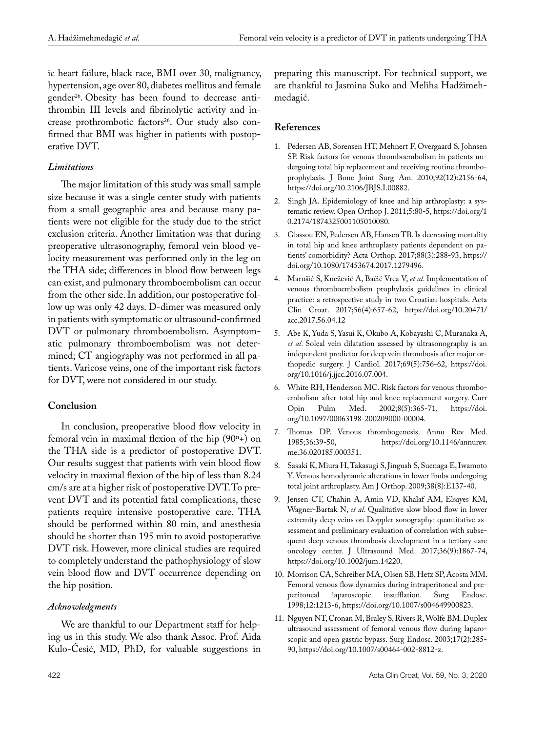ic heart failure, black race, BMI over 30, malignancy, hypertension, age over 80, diabetes mellitus and female gender<sup>26</sup>. Obesity has been found to decrease antithrombin III levels and fibrinolytic activity and increase prothrombotic factors<sup>26</sup>. Our study also confirmed that BMI was higher in patients with postoperative DVT.

#### *Limitations*

The major limitation of this study was small sample size because it was a single center study with patients from a small geographic area and because many patients were not eligible for the study due to the strict exclusion criteria. Another limitation was that during preoperative ultrasonography, femoral vein blood velocity measurement was performed only in the leg on the THA side; differences in blood flow between legs can exist, and pulmonary thromboembolism can occur from the other side. In addition, our postoperative follow up was only 42 days. D-dimer was measured only in patients with symptomatic or ultrasound-confirmed DVT or pulmonary thromboembolism. Asymptomatic pulmonary thromboembolism was not determined; CT angiography was not performed in all patients. Varicose veins, one of the important risk factors for DVT, were not considered in our study.

## **Conclusion**

In conclusion, preoperative blood flow velocity in femoral vein in maximal flexion of the hip (90º+) on the THA side is a predictor of postoperative DVT. Our results suggest that patients with vein blood flow velocity in maximal flexion of the hip of less than 8.24 cm/s are at a higher risk of postoperative DVT. To prevent DVT and its potential fatal complications, these patients require intensive postoperative care. THA should be performed within 80 min, and anesthesia should be shorter than 195 min to avoid postoperative DVT risk. However, more clinical studies are required to completely understand the pathophysiology of slow vein blood flow and DVT occurrence depending on the hip position.

## *Acknowledgments*

We are thankful to our Department staff for helping us in this study. We also thank Assoc. Prof. Aida Kulo-Ćesić, MD, PhD, for valuable suggestions in preparing this manuscript. For technical support, we are thankful to Jasmina Suko and Meliha Hadžimehmedagić.

#### **References**

- 1. Pedersen AB, Sorensen HT, Mehnert F, Overgaard S, Johnsen SP. Risk factors for venous thromboembolism in patients undergoing total hip replacement and receiving routine thromboprophylaxis. J Bone Joint Surg Am. 2010;92(12):2156-64, https://doi.org/10.2106/JBJS.I.00882.
- 2. Singh JA. Epidemiology of knee and hip arthroplasty: a systematic review. Open Orthop J. 2011;5:80-5, https://doi.org/1 0.2174/1874325001105010080.
- 3. Glassou EN, Pedersen AB, Hansen TB. Is decreasing mortality in total hip and knee arthroplasty patients dependent on patients' comorbidity? Acta Orthop. 2017;88(3):288-93, https:// doi.org/10.1080/17453674.2017.1279496.
- 4. Marušić S, Knežević A, Bačić Vrca V, *et al*. Implementation of venous thromboembolism prophylaxis guidelines in clinical practice: a retrospective study in two Croatian hospitals. Acta Clin Croat. 2017;56(4):657-62, https://doi.org/10.20471/ acc.2017.56.04.12
- 5. Abe K, Yuda S, Yasui K, Okubo A, Kobayashi C, Muranaka A, *et al*. Soleal vein dilatation assessed by ultrasonography is an independent predictor for deep vein thrombosis after major orthopedic surgery. J Cardiol. 2017;69(5):756-62, https://doi. org/10.1016/j.jjcc.2016.07.004.
- 6. White RH, Henderson MC. Risk factors for venous thromboembolism after total hip and knee replacement surgery. Curr<br>Opin Pulm Med.  $2002;8(5):365-71$ , https://doi. Opin Pulm Med. 2002;8(5):365-71, org/10.1097/00063198-200209000-00004.
- 7. Thomas DP. Venous thrombogenesis. Annu Rev Med. https://doi.org/10.1146/annurev. me.36.020185.000351.
- 8. Sasaki K, Miura H, Takasugi S, Jingush S, Suenaga E, Iwamoto Y. Venous hemodynamic alterations in lower limbs undergoing total joint arthroplasty. Am J Orthop. 2009;38(8):E137-40.
- 9. Jensen CT, Chahin A, Amin VD, Khalaf AM, Elsayes KM, Wagner-Bartak N, *et al*. Qualitative slow blood flow in lower extremity deep veins on Doppler sonography: quantitative assessment and preliminary evaluation of correlation with subsequent deep venous thrombosis development in a tertiary care oncology center. J Ultrasound Med. 2017;36(9):1867-74, https://doi.org/10.1002/jum.14220.
- 10. Morrison CA, Schreiber MA, Olsen SB, Hetz SP, Acosta MM. Femoral venous flow dynamics during intraperitoneal and pre-<br>peritoneal laparoscopic insufflation. Surg Endosc. peritoneal laparoscopic insufflation. Surg Endosc. 1998;12:1213-6, https://doi.org/10.1007/s004649900823.
- 11. Nguyen NT, Cronan M, Braley S, Rivers R, Wolfe BM. Duplex ultrasound assessment of femoral venous flow during laparoscopic and open gastric bypass. Surg Endosc. 2003;17(2):285- 90, https://doi.org/10.1007/s00464-002-8812-z.